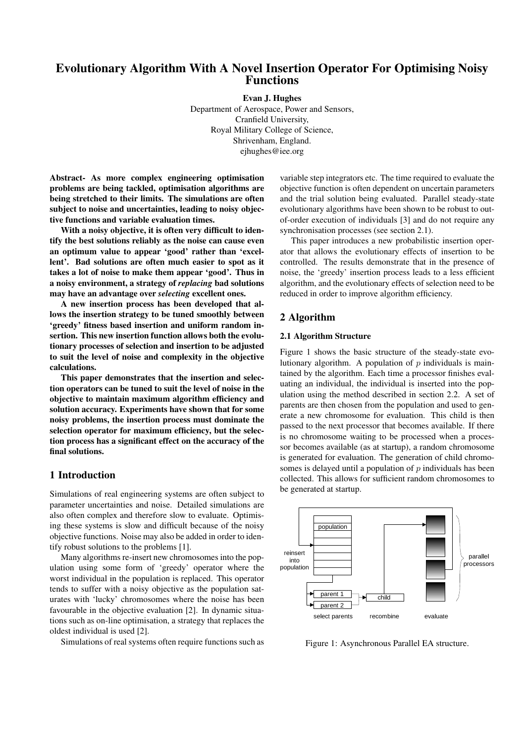# Evolutionary Algorithm With A Novel Insertion Operator For Optimising Noisy Functions

Evan J. Hughes

Department of Aerospace, Power and Sensors, Cranfield University, Royal Military College of Science, Shrivenham, England. ejhughes@iee.org

Abstract- As more complex engineering optimisation problems are being tackled, optimisation algorithms are being stretched to their limits. The simulations are often subject to noise and uncertainties, leading to noisy objective functions and variable evaluation times.

With a noisy objective, it is often very difficult to identify the best solutions reliably as the noise can cause even an optimum value to appear 'good' rather than 'excellent'. Bad solutions are often much easier to spot as it takes a lot of noise to make them appear 'good'. Thus in a noisy environment, a strategy of *replacing* bad solutions may have an advantage over *selecting* excellent ones.

A new insertion process has been developed that allows the insertion strategy to be tuned smoothly between 'greedy' fitness based insertion and uniform random insertion. This new insertion function allows both the evolutionary processes of selection and insertion to be adjusted to suit the level of noise and complexity in the objective calculations.

This paper demonstrates that the insertion and selection operators can be tuned to suit the level of noise in the objective to maintain maximum algorithm efficiency and solution accuracy. Experiments have shown that for some noisy problems, the insertion process must dominate the selection operator for maximum efficiency, but the selection process has a significant effect on the accuracy of the final solutions.

### 1 Introduction

Simulations of real engineering systems are often subject to parameter uncertainties and noise. Detailed simulations are also often complex and therefore slow to evaluate. Optimising these systems is slow and difficult because of the noisy objective functions. Noise may also be added in order to identify robust solutions to the problems [1].

Many algorithms re-insert new chromosomes into the population using some form of 'greedy' operator where the worst individual in the population is replaced. This operator tends to suffer with a noisy objective as the population saturates with 'lucky' chromosomes where the noise has been favourable in the objective evaluation [2]. In dynamic situations such as on-line optimisation, a strategy that replaces the oldest individual is used [2].

Simulations of real systems often require functions such as

variable step integrators etc. The time required to evaluate the objective function is often dependent on uncertain parameters and the trial solution being evaluated. Parallel steady-state evolutionary algorithms have been shown to be robust to outof-order execution of individuals [3] and do not require any synchronisation processes (see section 2.1).

This paper introduces a new probabilistic insertion operator that allows the evolutionary effects of insertion to be controlled. The results demonstrate that in the presence of noise, the 'greedy' insertion process leads to a less efficient algorithm, and the evolutionary effects of selection need to be reduced in order to improve algorithm efficiency.

### 2 Algorithm

#### 2.1 Algorithm Structure

Figure 1 shows the basic structure of the steady-state evolutionary algorithm. A population of  $p$  individuals is maintained by the algorithm. Each time a processor finishes evaluating an individual, the individual is inserted into the population using the method described in section 2.2. A set of parents are then chosen from the population and used to generate a new chromosome for evaluation. This child is then passed to the next processor that becomes available. If there is no chromosome waiting to be processed when a processor becomes available (as at startup), a random chromosome is generated for evaluation. The generation of child chromosomes is delayed until a population of  $p$  individuals has been collected. This allows for sufficient random chromosomes to be generated at startup.



Figure 1: Asynchronous Parallel EA structure.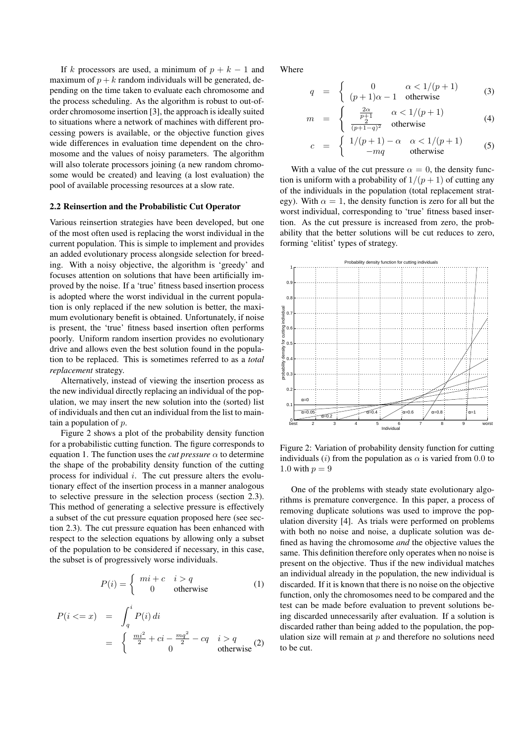If k processors are used, a minimum of  $p + k - 1$  and maximum of  $p + k$  random individuals will be generated, depending on the time taken to evaluate each chromosome and the process scheduling. As the algorithm is robust to out-oforder chromosome insertion [3], the approach is ideally suited to situations where a network of machines with different processing powers is available, or the objective function gives wide differences in evaluation time dependent on the chromosome and the values of noisy parameters. The algorithm will also tolerate processors joining (a new random chromosome would be created) and leaving (a lost evaluation) the pool of available processing resources at a slow rate.

#### 2.2 Reinsertion and the Probabilistic Cut Operator

Various reinsertion strategies have been developed, but one of the most often used is replacing the worst individual in the current population. This is simple to implement and provides an added evolutionary process alongside selection for breeding. With a noisy objective, the algorithm is 'greedy' and focuses attention on solutions that have been artificially improved by the noise. If a 'true' fitness based insertion process is adopted where the worst individual in the current population is only replaced if the new solution is better, the maximum evolutionary benefit is obtained. Unfortunately, if noise is present, the 'true' fitness based insertion often performs poorly. Uniform random insertion provides no evolutionary drive and allows even the best solution found in the population to be replaced. This is sometimes referred to as a *total replacement* strategy.

Alternatively, instead of viewing the insertion process as the new individual directly replacing an individual of the population, we may insert the new solution into the (sorted) list of individuals and then cut an individual from the list to maintain a population of  $p$ .

Figure 2 shows a plot of the probability density function for a probabilistic cutting function. The figure corresponds to equation 1. The function uses the *cut pressure*  $\alpha$  to determine the shape of the probability density function of the cutting process for individual  $i$ . The cut pressure alters the evolutionary effect of the insertion process in a manner analogous to selective pressure in the selection process (section 2.3). This method of generating a selective pressure is effectively a subset of the cut pressure equation proposed here (see section 2.3). The cut pressure equation has been enhanced with respect to the selection equations by allowing only a subset of the population to be considered if necessary, in this case, the subset is of progressively worse individuals.

$$
P(i) = \begin{cases} mi + c & i > q \\ 0 & \text{otherwise} \end{cases}
$$
 (1)

$$
P(i \leq x) = \int_{q}^{i} P(i) di
$$
  
= 
$$
\begin{cases} \frac{mi^{2}}{2} + ci - \frac{mq^{2}}{2} - cq & i > q \\ 0 & \text{otherwise} \end{cases}
$$
 (2)

Where

 $\eta$ 

$$
q = \begin{cases} 0 & \alpha < 1/(p+1) \\ (p+1)\alpha - 1 & \text{otherwise} \end{cases}
$$
 (3)

$$
u = \begin{cases} \frac{2\alpha}{p+1} & \alpha < 1/(p+1) \\ \frac{2}{(p+1-q)^2} & \text{otherwise} \end{cases}
$$
 (4)

$$
c = \begin{cases} 1/(p+1) - \alpha & \alpha < 1/(p+1) \\ -mq & \text{otherwise} \end{cases}
$$
 (5)

With a value of the cut pressure  $\alpha = 0$ , the density function is uniform with a probability of  $1/(p+1)$  of cutting any of the individuals in the population (total replacement strategy). With  $\alpha = 1$ , the density function is zero for all but the worst individual, corresponding to 'true' fitness based insertion. As the cut pressure is increased from zero, the probability that the better solutions will be cut reduces to zero, forming 'elitist' types of strategy.



Figure 2: Variation of probability density function for cutting individuals (i) from the population as  $\alpha$  is varied from 0.0 to 1.0 with  $p = 9$ 

One of the problems with steady state evolutionary algorithms is premature convergence. In this paper, a process of removing duplicate solutions was used to improve the population diversity [4]. As trials were performed on problems with both no noise and noise, a duplicate solution was defined as having the chromosome *and* the objective values the same. This definition therefore only operates when no noise is present on the objective. Thus if the new individual matches an individual already in the population, the new individual is discarded. If it is known that there is no noise on the objective function, only the chromosomes need to be compared and the test can be made before evaluation to prevent solutions being discarded unnecessarily after evaluation. If a solution is discarded rather than being added to the population, the population size will remain at  $p$  and therefore no solutions need to be cut.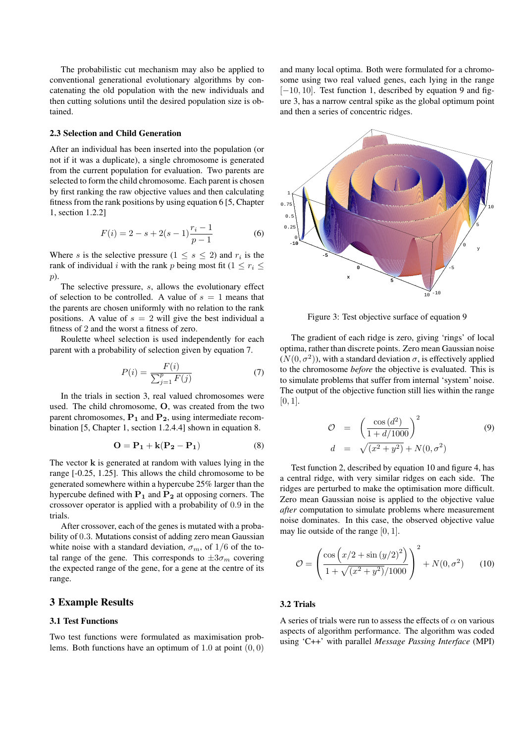The probabilistic cut mechanism may also be applied to conventional generational evolutionary algorithms by concatenating the old population with the new individuals and then cutting solutions until the desired population size is obtained.

#### 2.3 Selection and Child Generation

After an individual has been inserted into the population (or not if it was a duplicate), a single chromosome is generated from the current population for evaluation. Two parents are selected to form the child chromosome. Each parent is chosen by first ranking the raw objective values and then calculating fitness from the rank positions by using equation 6 [5, Chapter 1, section 1.2.2]

$$
F(i) = 2 - s + 2(s - 1)\frac{r_i - 1}{p - 1}
$$
 (6)

Where s is the selective pressure  $(1 \leq s \leq 2)$  and  $r_i$  is the rank of individual i with the rank p being most fit (1  $\leq r_i \leq$ p).

The selective pressure, s, allows the evolutionary effect of selection to be controlled. A value of  $s = 1$  means that the parents are chosen uniformly with no relation to the rank positions. A value of  $s = 2$  will give the best individual a fitness of 2 and the worst a fitness of zero.

Roulette wheel selection is used independently for each parent with a probability of selection given by equation 7.

$$
P(i) = \frac{F(i)}{\sum_{j=1}^{p} F(j)}\tag{7}
$$

In the trials in section 3, real valued chromosomes were used. The child chromosome, O, was created from the two parent chromosomes,  $P_1$  and  $P_2$ , using intermediate recombination [5, Chapter 1, section 1.2.4.4] shown in equation 8.

$$
\mathbf{O} = \mathbf{P}_1 + \mathbf{k}(\mathbf{P}_2 - \mathbf{P}_1) \tag{8}
$$

The vector **k** is generated at random with values lying in the range [-0.25, 1.25]. This allows the child chromosome to be generated somewhere within a hypercube 25% larger than the hypercube defined with  $P_1$  and  $P_2$  at opposing corners. The crossover operator is applied with a probability of 0.9 in the trials.

After crossover, each of the genes is mutated with a probability of 0.3. Mutations consist of adding zero mean Gaussian white noise with a standard deviation,  $\sigma_m$ , of 1/6 of the total range of the gene. This corresponds to  $\pm 3\sigma_m$  covering the expected range of the gene, for a gene at the centre of its range.

# 3 Example Results

### 3.1 Test Functions

Two test functions were formulated as maximisation problems. Both functions have an optimum of 1.0 at point  $(0, 0)$  and many local optima. Both were formulated for a chromosome using two real valued genes, each lying in the range [−10, 10]. Test function 1, described by equation 9 and figure 3, has a narrow central spike as the global optimum point and then a series of concentric ridges.



Figure 3: Test objective surface of equation 9

The gradient of each ridge is zero, giving 'rings' of local optima, rather than discrete points. Zero mean Gaussian noise  $(N(0, \sigma^2))$ , with a standard deviation  $\sigma$ , is effectively applied to the chromosome *before* the objective is evaluated. This is to simulate problems that suffer from internal 'system' noise. The output of the objective function still lies within the range  $[0, 1]$ .

$$
\mathcal{O} = \left(\frac{\cos{(d^2)}}{1 + d/1000}\right)^2
$$
\n(9)  
\n
$$
d = \sqrt{(x^2 + y^2)} + N(0, \sigma^2)
$$

Test function 2, described by equation 10 and figure 4, has a central ridge, with very similar ridges on each side. The ridges are perturbed to make the optimisation more difficult. Zero mean Gaussian noise is applied to the objective value *after* computation to simulate problems where measurement noise dominates. In this case, the observed objective value may lie outside of the range  $[0, 1]$ .

$$
\mathcal{O} = \left( \frac{\cos \left( x/2 + \sin \left( y/2 \right)^2 \right)}{1 + \sqrt{(x^2 + y^2)/1000}} \right)^2 + N(0, \sigma^2) \tag{10}
$$

### 3.2 Trials

A series of trials were run to assess the effects of  $\alpha$  on various aspects of algorithm performance. The algorithm was coded using 'C++' with parallel *Message Passing Interface* (MPI)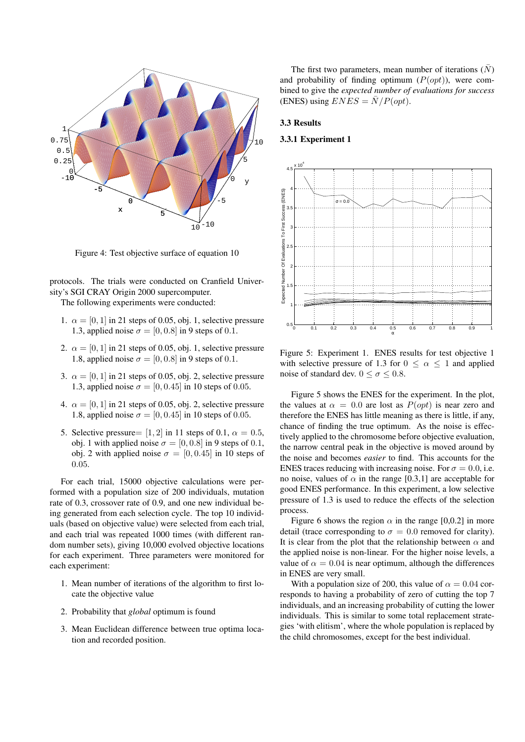

Figure 4: Test objective surface of equation 10

protocols. The trials were conducted on Cranfield University's SGI CRAY Origin 2000 supercomputer.

The following experiments were conducted:

- 1.  $\alpha = [0, 1]$  in 21 steps of 0.05, obj. 1, selective pressure 1.3, applied noise  $\sigma = [0, 0.8]$  in 9 steps of 0.1.
- 2.  $\alpha = [0, 1]$  in 21 steps of 0.05, obj. 1, selective pressure 1.8, applied noise  $\sigma = [0, 0.8]$  in 9 steps of 0.1.
- 3.  $\alpha = [0, 1]$  in 21 steps of 0.05, obj. 2, selective pressure 1.3, applied noise  $\sigma = [0, 0.45]$  in 10 steps of 0.05.
- 4.  $\alpha = [0, 1]$  in 21 steps of 0.05, obj. 2, selective pressure 1.8, applied noise  $\sigma = [0, 0.45]$  in 10 steps of 0.05.
- 5. Selective pressure=  $[1, 2]$  in 11 steps of 0.1,  $\alpha = 0.5$ , obj. 1 with applied noise  $\sigma = [0, 0.8]$  in 9 steps of 0.1, obj. 2 with applied noise  $\sigma = [0, 0.45]$  in 10 steps of 0.05.

For each trial, 15000 objective calculations were performed with a population size of 200 individuals, mutation rate of 0.3, crossover rate of 0.9, and one new individual being generated from each selection cycle. The top 10 individuals (based on objective value) were selected from each trial, and each trial was repeated 1000 times (with different random number sets), giving 10,000 evolved objective locations for each experiment. Three parameters were monitored for each experiment:

- 1. Mean number of iterations of the algorithm to first locate the objective value
- 2. Probability that *global* optimum is found
- 3. Mean Euclidean difference between true optima location and recorded position.

The first two parameters, mean number of iterations  $(N)$ and probability of finding optimum  $(P(opt))$ , were combined to give the *expected number of evaluations for success* (ENES) using  $ENES = \overline{N}/P(opt)$ .

#### 3.3 Results

### 3.3.1 Experiment 1



Figure 5: Experiment 1. ENES results for test objective 1 with selective pressure of 1.3 for  $0 \le \alpha \le 1$  and applied noise of standard dev.  $0 \le \sigma \le 0.8$ .

Figure 5 shows the ENES for the experiment. In the plot, the values at  $\alpha = 0.0$  are lost as  $P(opt)$  is near zero and therefore the ENES has little meaning as there is little, if any, chance of finding the true optimum. As the noise is effectively applied to the chromosome before objective evaluation, the narrow central peak in the objective is moved around by the noise and becomes *easier* to find. This accounts for the ENES traces reducing with increasing noise. For  $\sigma = 0.0$ , i.e. no noise, values of  $\alpha$  in the range [0.3,1] are acceptable for good ENES performance. In this experiment, a low selective pressure of 1.3 is used to reduce the effects of the selection process.

Figure 6 shows the region  $\alpha$  in the range [0,0.2] in more detail (trace corresponding to  $\sigma = 0.0$  removed for clarity). It is clear from the plot that the relationship between  $\alpha$  and the applied noise is non-linear. For the higher noise levels, a value of  $\alpha = 0.04$  is near optimum, although the differences in ENES are very small.

With a population size of 200, this value of  $\alpha = 0.04$  corresponds to having a probability of zero of cutting the top 7 individuals, and an increasing probability of cutting the lower individuals. This is similar to some total replacement strategies 'with elitism', where the whole population is replaced by the child chromosomes, except for the best individual.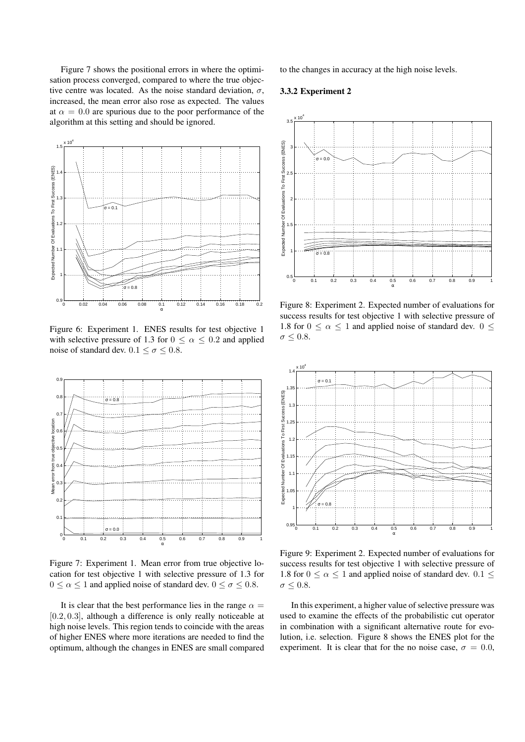Figure 7 shows the positional errors in where the optimisation process converged, compared to where the true objective centre was located. As the noise standard deviation,  $\sigma$ , increased, the mean error also rose as expected. The values at  $\alpha = 0.0$  are spurious due to the poor performance of the algorithm at this setting and should be ignored.



Figure 6: Experiment 1. ENES results for test objective 1 with selective pressure of 1.3 for  $0 \le \alpha \le 0.2$  and applied noise of standard dev.  $0.1 \le \sigma \le 0.8$ .



Figure 7: Experiment 1. Mean error from true objective location for test objective 1 with selective pressure of 1.3 for  $0 \le \alpha \le 1$  and applied noise of standard dev.  $0 \le \sigma \le 0.8$ .

It is clear that the best performance lies in the range  $\alpha =$ [0.2, 0.3], although a difference is only really noticeable at high noise levels. This region tends to coincide with the areas of higher ENES where more iterations are needed to find the optimum, although the changes in ENES are small compared

to the changes in accuracy at the high noise levels.

### 3.3.2 Experiment 2



Figure 8: Experiment 2. Expected number of evaluations for success results for test objective 1 with selective pressure of 1.8 for  $0 \le \alpha \le 1$  and applied noise of standard dev.  $0 \le$  $\sigma \leq 0.8$ .



Figure 9: Experiment 2. Expected number of evaluations for success results for test objective 1 with selective pressure of 1.8 for  $0 \le \alpha \le 1$  and applied noise of standard dev.  $0.1 \le$  $\sigma \leq 0.8$ .

In this experiment, a higher value of selective pressure was used to examine the effects of the probabilistic cut operator in combination with a significant alternative route for evolution, i.e. selection. Figure 8 shows the ENES plot for the experiment. It is clear that for the no noise case,  $\sigma = 0.0$ ,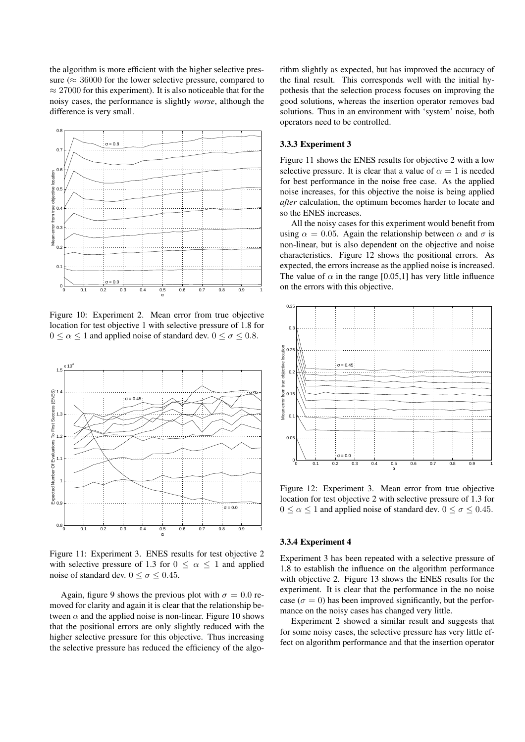the algorithm is more efficient with the higher selective pressure ( $\approx$  36000 for the lower selective pressure, compared to  $\approx$  27000 for this experiment). It is also noticeable that for the noisy cases, the performance is slightly *worse*, although the difference is very small.



Figure 10: Experiment 2. Mean error from true objective location for test objective 1 with selective pressure of 1.8 for  $0 \le \alpha \le 1$  and applied noise of standard dev.  $0 \le \sigma \le 0.8$ .



Figure 11: Experiment 3. ENES results for test objective 2 with selective pressure of 1.3 for  $0 \leq \alpha \leq 1$  and applied noise of standard dev.  $0 \le \sigma \le 0.45$ .

Again, figure 9 shows the previous plot with  $\sigma = 0.0$  removed for clarity and again it is clear that the relationship between  $\alpha$  and the applied noise is non-linear. Figure 10 shows that the positional errors are only slightly reduced with the higher selective pressure for this objective. Thus increasing the selective pressure has reduced the efficiency of the algorithm slightly as expected, but has improved the accuracy of the final result. This corresponds well with the initial hypothesis that the selection process focuses on improving the good solutions, whereas the insertion operator removes bad solutions. Thus in an environment with 'system' noise, both operators need to be controlled.

#### 3.3.3 Experiment 3

Figure 11 shows the ENES results for objective 2 with a low selective pressure. It is clear that a value of  $\alpha = 1$  is needed for best performance in the noise free case. As the applied noise increases, for this objective the noise is being applied *after* calculation, the optimum becomes harder to locate and so the ENES increases.

All the noisy cases for this experiment would benefit from using  $\alpha = 0.05$ . Again the relationship between  $\alpha$  and  $\sigma$  is non-linear, but is also dependent on the objective and noise characteristics. Figure 12 shows the positional errors. As expected, the errors increase as the applied noise is increased. The value of  $\alpha$  in the range [0.05,1] has very little influence on the errors with this objective.



Figure 12: Experiment 3. Mean error from true objective location for test objective 2 with selective pressure of 1.3 for  $0 \le \alpha \le 1$  and applied noise of standard dev.  $0 \le \sigma \le 0.45$ .

#### 3.3.4 Experiment 4

Experiment 3 has been repeated with a selective pressure of 1.8 to establish the influence on the algorithm performance with objective 2. Figure 13 shows the ENES results for the experiment. It is clear that the performance in the no noise case ( $\sigma = 0$ ) has been improved significantly, but the performance on the noisy cases has changed very little.

Experiment 2 showed a similar result and suggests that for some noisy cases, the selective pressure has very little effect on algorithm performance and that the insertion operator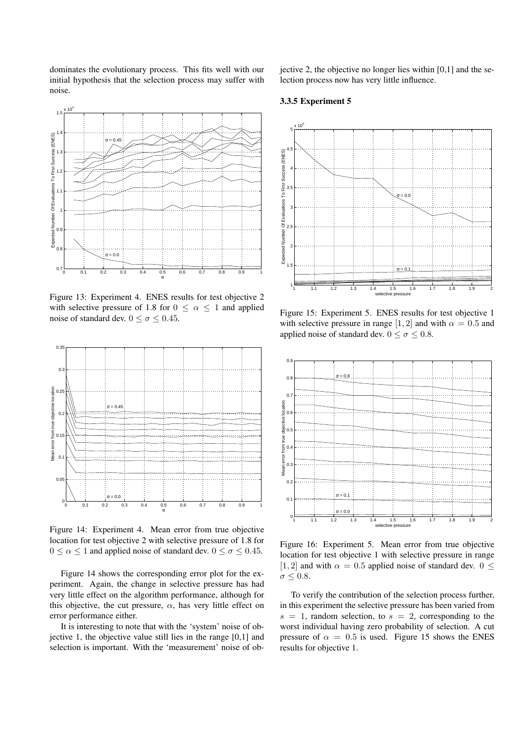dominates the evolutionary process. This fits well with our initial hypothesis that the selection process may suffer with noise.

 $x 10<sup>4</sup>$ 1.5 (ENES) 1.4 Expected Number Of Evaluations To First Success (ENES)  $\sigma = 0.45$  : 1.3 1.2 1.1 1 F 0.9 0.8  $= 0.0$ 0.7  $0.5$ 0 0.1 0.2 0.3 0.4 0.5 0.6 0.7 0.8 0.9 1

Figure 13: Experiment 4. ENES results for test objective 2 with selective pressure of 1.8 for  $0 \leq \alpha \leq 1$  and applied noise of standard dev.  $0 \le \sigma \le 0.45$ .



Figure 14: Experiment 4. Mean error from true objective location for test objective 2 with selective pressure of 1.8 for  $0 \le \alpha \le 1$  and applied noise of standard dev.  $0 \le \sigma \le 0.45$ .

Figure 14 shows the corresponding error plot for the experiment. Again, the change in selective pressure has had very little effect on the algorithm performance, although for this objective, the cut pressure,  $\alpha$ , has very little effect on error performance either.

It is interesting to note that with the 'system' noise of objective 1, the objective value still lies in the range [0,1] and selection is important. With the 'measurement' noise of objective 2, the objective no longer lies within [0,1] and the selection process now has very little influence.

### 3.3.5 Experiment 5



Figure 15: Experiment 5. ENES results for test objective 1 with selective pressure in range [1, 2] and with  $\alpha = 0.5$  and applied noise of standard dev.  $0 \le \sigma \le 0.8$ .



Figure 16: Experiment 5. Mean error from true objective location for test objective 1 with selective pressure in range [1, 2] and with  $\alpha = 0.5$  applied noise of standard dev.  $0 \leq$  $\sigma \leq 0.8$ .

To verify the contribution of the selection process further, in this experiment the selective pressure has been varied from  $s = 1$ , random selection, to  $s = 2$ , corresponding to the worst individual having zero probability of selection. A cut pressure of  $\alpha = 0.5$  is used. Figure 15 shows the ENES results for objective 1.